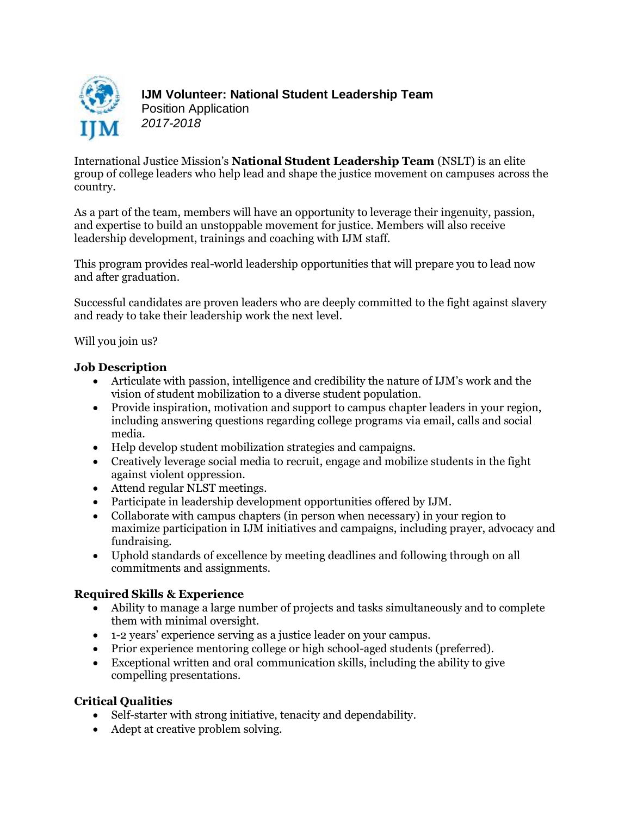

International Justice Mission's **National Student Leadership Team** (NSLT) is an elite group of college leaders who help lead and shape the justice movement on campuses across the country.

As a part of the team, members will have an opportunity to leverage their ingenuity, passion, and expertise to build an unstoppable movement for justice. Members will also receive leadership development, trainings and coaching with IJM staff.

This program provides real-world leadership opportunities that will prepare you to lead now and after graduation.

Successful candidates are proven leaders who are deeply committed to the fight against slavery and ready to take their leadership work the next level.

Will you join us?

# **Job Description**

- Articulate with passion, intelligence and credibility the nature of IJM's work and the vision of student mobilization to a diverse student population.
- Provide inspiration, motivation and support to campus chapter leaders in your region, including answering questions regarding college programs via email, calls and social media.
- Help develop student mobilization strategies and campaigns.
- Creatively leverage social media to recruit, engage and mobilize students in the fight against violent oppression.
- Attend regular NLST meetings.
- Participate in leadership development opportunities offered by IJM.
- Collaborate with campus chapters (in person when necessary) in your region to maximize participation in IJM initiatives and campaigns, including prayer, advocacy and fundraising.
- Uphold standards of excellence by meeting deadlines and following through on all commitments and assignments.

# **Required Skills & Experience**

- Ability to manage a large number of projects and tasks simultaneously and to complete them with minimal oversight.
- 1-2 years' experience serving as a justice leader on your campus.
- Prior experience mentoring college or high school-aged students (preferred).
- Exceptional written and oral communication skills, including the ability to give compelling presentations.

## **Critical Qualities**

- Self-starter with strong initiative, tenacity and dependability.
- Adept at creative problem solving.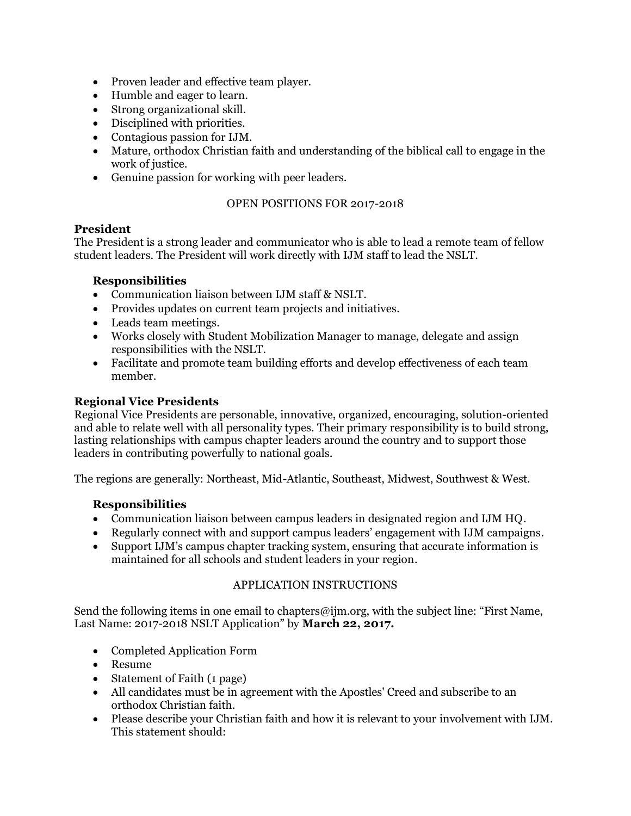- Proven leader and effective team player.
- Humble and eager to learn.
- Strong organizational skill.
- Disciplined with priorities.
- Contagious passion for IJM.
- Mature, orthodox Christian faith and understanding of the biblical call to engage in the work of justice.
- Genuine passion for working with peer leaders.

## OPEN POSITIONS FOR 2017-2018

## **President**

The President is a strong leader and communicator who is able to lead a remote team of fellow student leaders. The President will work directly with IJM staff to lead the NSLT.

## **Responsibilities**

- Communication liaison between IJM staff & NSLT.
- Provides updates on current team projects and initiatives.
- Leads team meetings.
- Works closely with Student Mobilization Manager to manage, delegate and assign responsibilities with the NSLT.
- Facilitate and promote team building efforts and develop effectiveness of each team member.

## **Regional Vice Presidents**

Regional Vice Presidents are personable, innovative, organized, encouraging, solution-oriented and able to relate well with all personality types. Their primary responsibility is to build strong, lasting relationships with campus chapter leaders around the country and to support those leaders in contributing powerfully to national goals.

The regions are generally: Northeast, Mid-Atlantic, Southeast, Midwest, Southwest & West.

## **Responsibilities**

- Communication liaison between campus leaders in designated region and IJM HQ.
- Regularly connect with and support campus leaders' engagement with IJM campaigns.
- Support IJM's campus chapter tracking system, ensuring that accurate information is maintained for all schools and student leaders in your region.

#### APPLICATION INSTRUCTIONS

Send the following items in one email to chapters@ijm.org, with the subject line: "First Name, Last Name: 2017-2018 NSLT Application" by **March 22, 2017.**

- Completed Application Form
- Resume
- Statement of Faith (1 page)
- All candidates must be in agreement with the Apostles' Creed and subscribe to an orthodox Christian faith.
- Please describe your Christian faith and how it is relevant to your involvement with IJM. This statement should: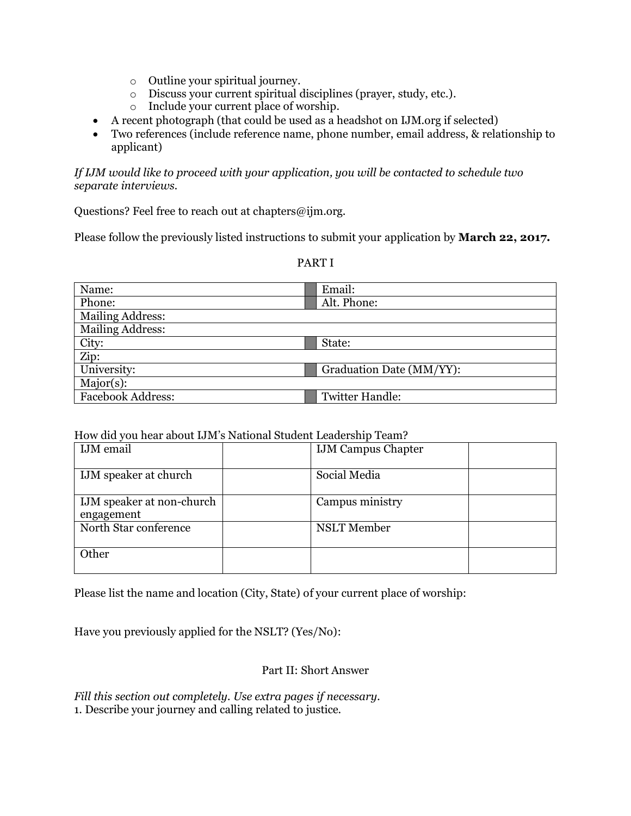- o Outline your spiritual journey.
- o Discuss your current spiritual disciplines (prayer, study, etc.).
- o Include your current place of worship.
- A recent photograph (that could be used as a headshot on IJM.org if selected)
- Two references (include reference name, phone number, email address, & relationship to applicant)

*If IJM would like to proceed with your application, you will be contacted to schedule two separate interviews.*

Questions? Feel free to reach out at chapters@ijm.org.

Please follow the previously listed instructions to submit your application by **March 22, 2017.**

| Name:                   | Email:                   |
|-------------------------|--------------------------|
| Phone:                  | Alt. Phone:              |
| <b>Mailing Address:</b> |                          |
| <b>Mailing Address:</b> |                          |
| City:                   | State:                   |
| Zip:                    |                          |
| University:             | Graduation Date (MM/YY): |
| $Major(s)$ :            |                          |
| Facebook Address:       | <b>Twitter Handle:</b>   |

## PART I

#### How did you hear about IJM's National Student Leadership Team?

| <b>IJM</b> email                        | <b>IJM Campus Chapter</b> |  |
|-----------------------------------------|---------------------------|--|
| IJM speaker at church                   | Social Media              |  |
| IJM speaker at non-church<br>engagement | Campus ministry           |  |
| North Star conference                   | <b>NSLT</b> Member        |  |
| Other                                   |                           |  |

Please list the name and location (City, State) of your current place of worship:

Have you previously applied for the NSLT? (Yes/No):

## Part II: Short Answer

*Fill this section out completely. Use extra pages if necessary.* 1. Describe your journey and calling related to justice.